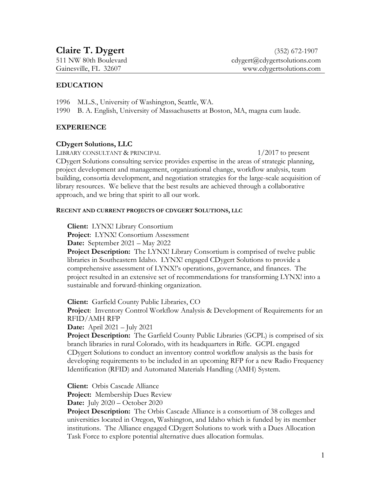# **EDUCATION**

- 1996 M.L.S., University of Washington, Seattle, WA.
- 1990 B. A. English, University of Massachusetts at Boston, MA, magna cum laude.

# **EXPERIENCE**

# **CDygert Solutions, LLC**

LIBRARY CONSULTANT & PRINCIPAL 1/2017 to present

CDygert Solutions consulting service provides expertise in the areas of strategic planning, project development and management, organizational change, workflow analysis, team building, consortia development, and negotiation strategies for the large-scale acquisition of library resources. We believe that the best results are achieved through a collaborative approach, and we bring that spirit to all our work.

## **RECENT AND CURRENT PROJECTS OF CDYGERT SOLUTIONS, LLC**

**Client:** LYNX! Library Consortium

Project: LYNX! Consortium Assessment

**Date:** September 2021 – May 2022

**Project Description:** The LYNX! Library Consortium is comprised of twelve public libraries in Southeastern Idaho. LYNX! engaged CDygert Solutions to provide a comprehensive assessment of LYNX!'s operations, governance, and finances. The project resulted in an extensive set of recommendations for transforming LYNX! into a sustainable and forward-thinking organization.

**Client:** Garfield County Public Libraries, CO

**Project**: Inventory Control Workflow Analysis & Development of Requirements for an RFID/AMH RFP

**Date:** April 2021 – July 2021

**Project Description:** The Garfield County Public Libraries (GCPL) is comprised of six branch libraries in rural Colorado, with its headquarters in Rifle. GCPL engaged CDygert Solutions to conduct an inventory control workflow analysis as the basis for developing requirements to be included in an upcoming RFP for a new Radio Frequency Identification (RFID) and Automated Materials Handling (AMH) System.

**Client:** Orbis Cascade Alliance

**Project:** Membership Dues Review

**Date:** July 2020 – October 2020

**Project Description:** The Orbis Cascade Alliance is a consortium of 38 colleges and universities located in Oregon, Washington, and Idaho which is funded by its member institutions. The Alliance engaged CDygert Solutions to work with a Dues Allocation Task Force to explore potential alternative dues allocation formulas.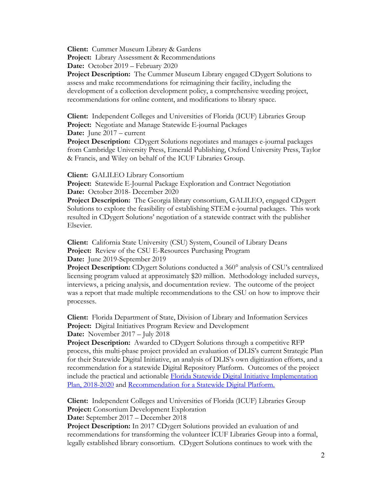**Client:** Cummer Museum Library & Gardens **Project:** Library Assessment & Recommendations

**Date:** October 2019 – February 2020

**Project Description:** The Cummer Museum Library engaged CDygert Solutions to assess and make recommendations for reimagining their facility, including the development of a collection development policy, a comprehensive weeding project, recommendations for online content, and modifications to library space.

**Client:** Independent Colleges and Universities of Florida (ICUF) Libraries Group **Project:** Negotiate and Manage Statewide E-journal Packages **Date:** June 2017 – current

**Project Description:** CDygert Solutions negotiates and manages e-journal packages from Cambridge University Press, Emerald Publishing, Oxford University Press, Taylor & Francis, and Wiley on behalf of the ICUF Libraries Group.

**Client:** GALILEO Library Consortium

**Project:** Statewide E-Journal Package Exploration and Contract Negotiation **Date:** October 2018- December 2020

**Project Description:** The Georgia library consortium, GALILEO, engaged CDygert Solutions to explore the feasibility of establishing STEM e-journal packages. This work resulted in CDygert Solutions' negotiation of a statewide contract with the publisher Elsevier.

**Client:** California State University (CSU) System, Council of Library Deans **Project:** Review of the CSU E-Resources Purchasing Program **Date:** June 2019-September 2019

**Project Description:** CDygert Solutions conducted a 360° analysis of CSU's centralized licensing program valued at approximately \$20 million. Methodology included surveys, interviews, a pricing analysis, and documentation review. The outcome of the project was a report that made multiple recommendations to the CSU on how to improve their processes.

**Client:** Florida Department of State, Division of Library and Information Services **Project:** Digital Initiatives Program Review and Development **Date:** November 2017 – July 2018

**Project Description:** Awarded to CDygert Solutions through a competitive RFP process, this multi-phase project provided an evaluation of DLIS's current Strategic Plan for their Statewide Digital Initiative, an analysis of DLIS's own digitization efforts, and a recommendation for a statewide Digital Repository Platform. Outcomes of the project include the practical and actionable [Florida Statewide Digital Initiative Implementation](https://dos.myflorida.com/media/700134/digitalinitiativeimplementationplan.pdf)  [Plan, 2018-2020](https://dos.myflorida.com/media/700134/digitalinitiativeimplementationplan.pdf) and [Recommendation for a Statewide Digital Platform.](https://dos.myflorida.com/media/699758/digitalinitiativeplatformrecommendationreport.pdf)

**Client:** Independent Colleges and Universities of Florida (ICUF) Libraries Group **Project:** Consortium Development Exploration **Date:** September 2017 – December 2018

**Project Description:** In 2017 CDygert Solutions provided an evaluation of and recommendations for transforming the volunteer ICUF Libraries Group into a formal, legally established library consortium. CDygert Solutions continues to work with the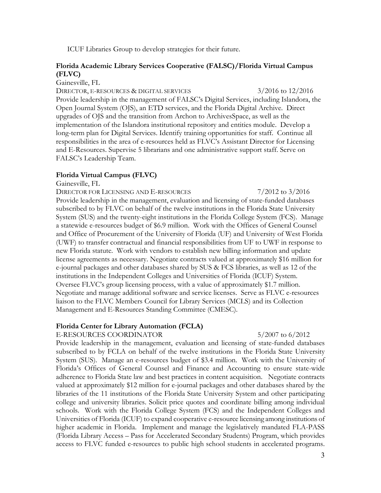ICUF Libraries Group to develop strategies for their future.

## **Florida Academic Library Services Cooperative (FALSC)/Florida Virtual Campus (FLVC)**

Gainesville, FL

DIRECTOR, E-RESOURCES & DIGITAL SERVICES 3/2016 to 12/2016 Provide leadership in the management of FALSC's Digital Services, including Islandora, the Open Journal System (OJS), an ETD services, and the Florida Digital Archive. Direct upgrades of OJS and the transition from Archon to ArchivesSpace, as well as the implementation of the Islandora institutional repository and entities module. Develop a long-term plan for Digital Services. Identify training opportunities for staff. Continue all responsibilities in the area of e-resources held as FLVC's Assistant Director for Licensing and E-Resources. Supervise 5 librarians and one administrative support staff. Serve on FALSC's Leadership Team.

#### **Florida Virtual Campus (FLVC)**

Gainesville, FL

DIRECTOR FOR LICENSING AND E-RESOURCES 7/2012 to 3/2016 Provide leadership in the management, evaluation and licensing of state-funded databases subscribed to by FLVC on behalf of the twelve institutions in the Florida State University System (SUS) and the twenty-eight institutions in the Florida College System (FCS). Manage a statewide e-resources budget of \$6.9 million. Work with the Offices of General Counsel and Office of Procurement of the University of Florida (UF) and University of West Florida (UWF) to transfer contractual and financial responsibilities from UF to UWF in response to new Florida statute. Work with vendors to establish new billing information and update license agreements as necessary. Negotiate contracts valued at approximately \$16 million for e-journal packages and other databases shared by SUS & FCS libraries, as well as 12 of the institutions in the Independent Colleges and Universities of Florida (ICUF) System. Oversee FLVC's group licensing process, with a value of approximately \$1.7 million. Negotiate and manage additional software and service licenses. Serve as FLVC e-resources liaison to the FLVC Members Council for Library Services (MCLS) and its Collection Management and E-Resources Standing Committee (CMESC).

#### **Florida Center for Library Automation (FCLA)**

E-RESOURCES COORDINATOR 5/2007 to 6/2012

Provide leadership in the management, evaluation and licensing of state-funded databases subscribed to by FCLA on behalf of the twelve institutions in the Florida State University System (SUS). Manage an e-resources budget of \$3.4 million. Work with the University of Florida's Offices of General Counsel and Finance and Accounting to ensure state-wide adherence to Florida State law and best practices in content acquisition. Negotiate contracts valued at approximately \$12 million for e-journal packages and other databases shared by the libraries of the 11 institutions of the Florida State University System and other participating college and university libraries. Solicit price quotes and coordinate billing among individual schools. Work with the Florida College System (FCS) and the Independent Colleges and Universities of Florida (ICUF) to expand cooperative e-resource licensing among institutions of higher academic in Florida. Implement and manage the legislatively mandated FLA-PASS (Florida Library Access – Pass for Accelerated Secondary Students) Program, which provides access to FLVC funded e-resources to public high school students in accelerated programs.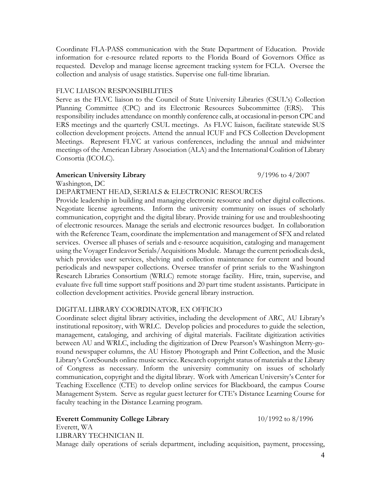Coordinate FLA-PASS communication with the State Department of Education. Provide information for e-resource related reports to the Florida Board of Governors Office as requested. Develop and manage license agreement tracking system for FCLA. Oversee the collection and analysis of usage statistics. Supervise one full-time librarian.

## FLVC LIAISON RESPONSIBILITIES

Serve as the FLVC liaison to the Council of State University Libraries (CSUL's) Collection Planning Committee (CPC) and its Electronic Resources Subcommittee (ERS). This responsibility includes attendance on monthly conference calls, at occasional in-person CPC and ERS meetings and the quarterly CSUL meetings. As FLVC liaison, facilitate statewide SUS collection development projects. Attend the annual ICUF and FCS Collection Development Meetings. Represent FLVC at various conferences, including the annual and midwinter meetings of the American Library Association (ALA) and the International Coalition of Library Consortia (ICOLC).

## **American University Library** 9/1996 to 4/2007

Washington, DC

DEPARTMENT HEAD, SERIALS & ELECTRONIC RESOURCES

Provide leadership in building and managing electronic resource and other digital collections. Negotiate license agreements. Inform the university community on issues of scholarly communication, copyright and the digital library. Provide training for use and troubleshooting of electronic resources. Manage the serials and electronic resources budget. In collaboration with the Reference Team, coordinate the implementation and management of SFX and related services. Oversee all phases of serials and e-resource acquisition, cataloging and management using the Voyager Endeavor Serials/Acquisitions Module. Manage the current periodicals desk, which provides user services, shelving and collection maintenance for current and bound periodicals and newspaper collections. Oversee transfer of print serials to the Washington Research Libraries Consortium (WRLC) remote storage facility. Hire, train, supervise, and evaluate five full time support staff positions and 20 part time student assistants. Participate in collection development activities. Provide general library instruction.

# DIGITAL LIBRARY COORDINATOR, EX OFFICIO

Coordinate select digital library activities, including the development of ARC, AU Library's institutional repository, with WRLC. Develop policies and procedures to guide the selection, management, cataloging, and archiving of digital materials. Facilitate digitization activities between AU and WRLC, including the digitization of Drew Pearson's Washington Merry-goround newspaper columns, the AU History Photograph and Print Collection, and the Music Library's CoreSounds online music service. Research copyright status of materials at the Library of Congress as necessary. Inform the university community on issues of scholarly communication, copyright and the digital library. Work with American University's Center for Teaching Excellence (CTE) to develop online services for Blackboard, the campus Course Management System. Serve as regular guest lecturer for CTE's Distance Learning Course for faculty teaching in the Distance Learning program.

# **Everett Community College Library** 10/1992 to 8/1996

Everett, WA

LIBRARY TECHNICIAN II. Manage daily operations of serials department, including acquisition, payment, processing,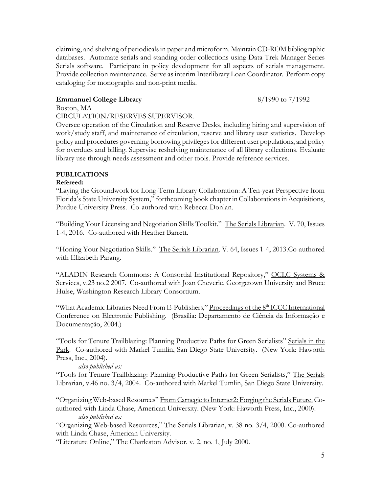claiming, and shelving of periodicals in paper and microform. Maintain CD-ROM bibliographic databases. Automate serials and standing order collections using Data Trek Manager Series Serials software. Participate in policy development for all aspects of serials management. Provide collection maintenance. Serve as interim Interlibrary Loan Coordinator. Perform copy cataloging for monographs and non-print media.

# **Emmanuel College Library** 8/1990 to 7/1992

Boston, MA

#### CIRCULATION/RESERVES SUPERVISOR.

Oversee operation of the Circulation and Reserve Desks, including hiring and supervision of work/study staff, and maintenance of circulation, reserve and library user statistics. Develop policy and procedures governing borrowing privileges for different user populations, and policy for overdues and billing. Supervise reshelving maintenance of all library collections. Evaluate library use through needs assessment and other tools. Provide reference services.

## **PUBLICATIONS**

#### **Refereed:**

"Laying the Groundwork for Long-Term Library Collaboration: A Ten-year Perspective from Florida's State University System," forthcoming book chapter in Collaborations in Acquisitions, Purdue University Press. Co-authored with Rebecca Donlan.

"Building Your Licensing and Negotiation Skills Toolkit." The Serials Librarian. V. 70, Issues 1-4, 2016. Co-authored with Heather Barrett.

"Honing Your Negotiation Skills." The Serials Librarian. V. 64, Issues 1-4, 2013.Co-authored with Elizabeth Parang.

"ALADIN Research Commons: A Consortial Institutional Repository," OCLC Systems & Services, v.23 no.2 2007. Co-authored with Joan Cheverie, Georgetown University and Bruce Hulse, Washington Research Library Consortium.

"What Academic Libraries Need From E-Publishers," Proceedings of the 8<sup>th</sup> ICCC International Conference on Electronic Publishing. (Brasilia: Departamento de Ciência da Informação e Documentação, 2004.)

"Tools for Tenure Trailblazing: Planning Productive Paths for Green Serialists" Serials in the Park. Co-authored with Markel Tumlin, San Diego State University. (New York: Haworth Press, Inc., 2004).

#### *also published as:*

"Tools for Tenure Trailblazing: Planning Productive Paths for Green Serialists," The Serials Librarian, v.46 no. 3/4, 2004. Co-authored with Markel Tumlin, San Diego State University.

"Organizing Web-based Resources" From Carnegie to Internet2: Forging the Serials Future. Coauthored with Linda Chase, American University. (New York: Haworth Press, Inc., 2000). *also published as:*

"Organizing Web-based Resources," The Serials Librarian, v. 38 no. 3/4, 2000. Co-authored with Linda Chase, American University.

"Literature Online," The Charleston Advisor. v. 2, no. 1, July 2000.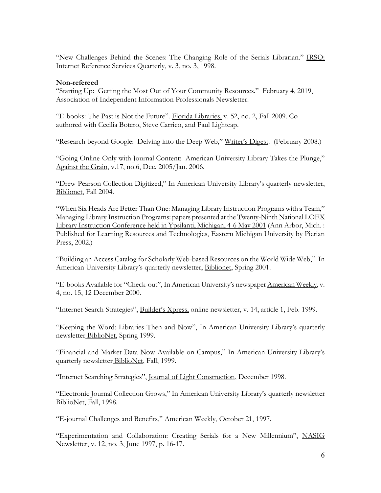"New Challenges Behind the Scenes: The Changing Role of the Serials Librarian." IRSQ: Internet Reference Services Quarterly, v. 3, no. 3, 1998.

### **Non-refereed**

"Starting Up: Getting the Most Out of Your Community Resources." February 4, 2019, Association of Independent Information Professionals Newsletter.

"E-books: The Past is Not the Future"*.* Florida Libraries. v. 52, no. 2, Fall 2009. Coauthored with Cecilia Botero, Steve Carrico, and Paul Lightcap.

"Research beyond Google: Delving into the Deep Web," Writer's Digest. (February 2008.)

"Going Online-Only with Journal Content: American University Library Takes the Plunge," Against the Grain, v.17, no.6, Dec. 2005/Jan. 2006.

"Drew Pearson Collection Digitized," In American University Library's quarterly newsletter, Biblionet, Fall 2004.

"When Six Heads Are Better Than One: Managing Library Instruction Programs with a Team," Managing Library Instruction Programs: papers presented at the Twenty-Ninth National LOEX Library Instruction Conference held in Ypsilanti, Michigan, 4-6 May 2001 (Ann Arbor, Mich. : Published for Learning Resources and Technologies, Eastern Michigan University by Pierian Press, 2002.)

"Building an Access Catalog for Scholarly Web-based Resources on the World Wide Web," In American University Library's quarterly newsletter, Biblionet, Spring 2001.

"E-books Available for "Check-out", In American University's newspaper American Weekly, v. 4, no. 15, 12 December 2000.

"Internet Search Strategies", Builder's Xpress, online newsletter, v. 14, article 1, Feb. 1999.

"Keeping the Word: Libraries Then and Now", In American University Library's quarterly newsletter BiblioNet, Spring 1999.

"Financial and Market Data Now Available on Campus," In American University Library's quarterly newsletter BiblioNet, Fall, 1999.

"Internet Searching Strategies", Journal of Light Construction, December 1998.

"Electronic Journal Collection Grows," In American University Library's quarterly newsletter BiblioNet, Fall, 1998.

"E-journal Challenges and Benefits," American Weekly, October 21, 1997.

"Experimentation and Collaboration: Creating Serials for a New Millennium", NASIG Newsletter, v. 12, no. 3, June 1997, p. 16-17.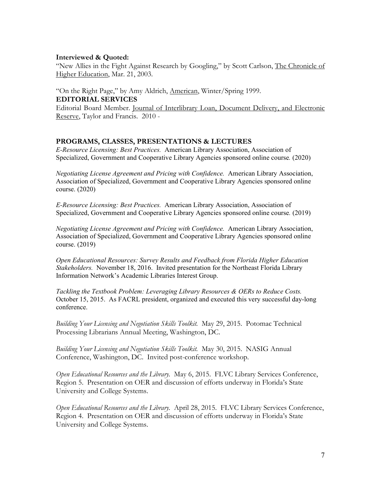### **Interviewed & Quoted:**

"New Allies in the Fight Against Research by Googling," by Scott Carlson, The Chronicle of Higher Education, Mar. 21, 2003.

"On the Right Page," by Amy Aldrich, American, Winter/Spring 1999. **EDITORIAL SERVICES**

Editorial Board Member. Journal of Interlibrary Loan, Document Delivery, and Electronic Reserve, Taylor and Francis. 2010 -

## **PROGRAMS, CLASSES, PRESENTATIONS & LECTURES**

*E-Resource Licensing: Best Practices.* American Library Association, Association of Specialized, Government and Cooperative Library Agencies sponsored online course*.* (2020)

*Negotiating License Agreement and Pricing with Confidence.* American Library Association, Association of Specialized, Government and Cooperative Library Agencies sponsored online course. (2020)

*E-Resource Licensing: Best Practices.* American Library Association, Association of Specialized, Government and Cooperative Library Agencies sponsored online course*.* (2019)

*Negotiating License Agreement and Pricing with Confidence.* American Library Association, Association of Specialized, Government and Cooperative Library Agencies sponsored online course. (2019)

*Open Educational Resources: Survey Results and Feedback from Florida Higher Education Stakeholders.* November 18, 2016. Invited presentation for the Northeast Florida Library Information Network's Academic Libraries Interest Group.

*Tackling the Textbook Problem: Leveraging Library Resources & OERs to Reduce Costs.*  October 15, 2015. As FACRL president, organized and executed this very successful day-long conference.

*Building Your Licensing and Negotiation Skills Toolkit.* May 29, 2015. Potomac Technical Processing Librarians Annual Meeting, Washington, DC.

*Building Your Licensing and Negotiation Skills Toolkit.* May 30, 2015. NASIG Annual Conference, Washington, DC. Invited post-conference workshop.

*Open Educational Resources and the Library.* May 6, 2015. FLVC Library Services Conference, Region 5. Presentation on OER and discussion of efforts underway in Florida's State University and College Systems.

*Open Educational Resources and the Library.* April 28, 2015. FLVC Library Services Conference, Region 4. Presentation on OER and discussion of efforts underway in Florida's State University and College Systems.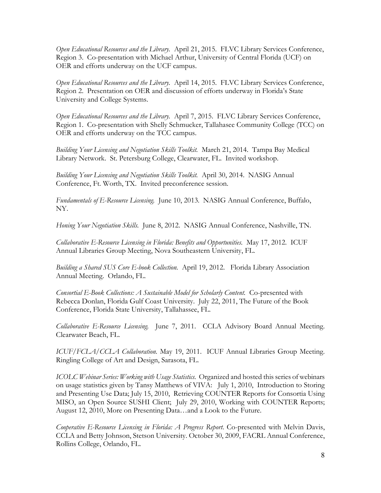*Open Educational Resources and the Library.* April 21, 2015. FLVC Library Services Conference, Region 3. Co-presentation with Michael Arthur, University of Central Florida (UCF) on OER and efforts underway on the UCF campus.

*Open Educational Resources and the Library.* April 14, 2015. FLVC Library Services Conference, Region 2. Presentation on OER and discussion of efforts underway in Florida's State University and College Systems.

*Open Educational Resources and the Library.* April 7, 2015. FLVC Library Services Conference, Region 1. Co-presentation with Shelly Schmucker, Tallahasee Community College (TCC) on OER and efforts underway on the TCC campus.

*Building Your Licensing and Negotiation Skills Toolkit.* March 21, 2014. Tampa Bay Medical Library Network. St. Petersburg College, Clearwater, FL. Invited workshop.

*Building Your Licensing and Negotiation Skills Toolkit.* April 30, 2014. NASIG Annual Conference, Ft. Worth, TX. Invited preconference session.

*Fundamentals of E-Resource Licensing.* June 10, 2013. NASIG Annual Conference, Buffalo, NY.

*Honing Your Negotiation Skills.* June 8, 2012. NASIG Annual Conference, Nashville, TN.

*Collaborative E-Resource Licensing in Florida: Benefits and Opportunities.* May 17, 2012. ICUF Annual Libraries Group Meeting, Nova Southeastern University, FL.

*Building a Shared SUS Core E-book Collection.* April 19, 2012. Florida Library Association Annual Meeting. Orlando, FL.

*Consortial E-Book Collections: A Sustainable Model for Scholarly Content.* Co-presented with Rebecca Donlan, Florida Gulf Coast University. July 22, 2011, The Future of the Book Conference, Florida State University, Tallahassee, FL.

*Collaborative E-Resource Licensing.* June 7, 2011. CCLA Advisory Board Annual Meeting. Clearwater Beach, FL.

*ICUF/FCLA/CCLA Collaboration.* May 19, 2011. ICUF Annual Libraries Group Meeting. Ringling College of Art and Design, Sarasota, FL.

*ICOLC Webinar Series: Working with Usage Statistics.* Organized and hosted this series of webinars on usage statistics given by Tansy Matthews of VIVA: July 1, 2010, Introduction to Storing and Presenting Use Data; July 15, 2010, Retrieving COUNTER Reports for Consortia Using MISO, an Open Source SUSHI Client; July 29, 2010, Working with COUNTER Reports; August 12, 2010, More on Presenting Data…and a Look to the Future.

*Cooperative E-Resource Licensing in Florida: A Progress Report*. Co-presented with Melvin Davis, CCLA and Betty Johnson, Stetson University. October 30, 2009, FACRL Annual Conference, Rollins College, Orlando, FL.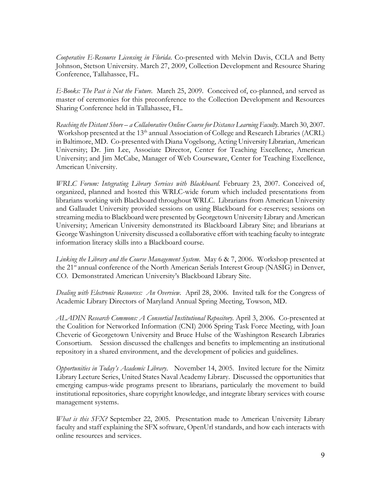*Cooperative E-Resource Licensing in Florida*. Co-presented with Melvin Davis, CCLA and Betty Johnson, Stetson University. March 27, 2009, Collection Development and Resource Sharing Conference, Tallahassee, FL.

*E-Books: The Past is Not the Future*. March 25, 2009. Conceived of, co-planned, and served as master of ceremonies for this preconference to the Collection Development and Resources Sharing Conference held in Tallahassee, FL.

*Reaching the Distant Shore – a Collaborative Online Course for Distance Learning Faculty*. March 30, 2007. Workshop presented at the 13<sup>th</sup> annual Association of College and Research Libraries (ACRL) in Baltimore, MD. Co-presented with Diana Vogelsong, Acting University Librarian, American University; Dr. Jim Lee, Associate Director, Center for Teaching Excellence, American University; and Jim McCabe, Manager of Web Courseware, Center for Teaching Excellence, American University.

*WRLC Forum: Integrating Library Services with Blackboard*. February 23, 2007. Conceived of, organized, planned and hosted this WRLC-wide forum which included presentations from librarians working with Blackboard throughout WRLC. Librarians from American University and Gallaudet University provided sessions on using Blackboard for e-reserves; sessions on streaming media to Blackboard were presented by Georgetown University Library and American University; American University demonstrated its Blackboard Library Site; and librarians at George Washington University discussed a collaborative effort with teaching faculty to integrate information literacy skills into a Blackboard course.

*Linking the Library and the Course Management System*. May 6 & 7, 2006. Workshop presented at the 21<sup>st</sup> annual conference of the North American Serials Interest Group (NASIG) in Denver, CO. Demonstrated American University's Blackboard Library Site.

*Dealing with Electronic Resources: An Overview.* April 28, 2006. Invited talk for the Congress of Academic Library Directors of Maryland Annual Spring Meeting, Towson, MD.

*ALADIN Research Commons: A Consortial Institutional Repository.* April 3, 2006. Co-presented at the Coalition for Networked Information (CNI) 2006 Spring Task Force Meeting, with Joan Cheverie of Georgetown University and Bruce Hulse of the Washington Research Libraries Consortium. Session discussed the challenges and benefits to implementing an institutional repository in a shared environment, and the development of policies and guidelines.

*Opportunities in Today's Academic Library*. November 14, 2005. Invited lecture for the Nimitz Library Lecture Series, United States Naval Academy Library. Discussed the opportunities that emerging campus-wide programs present to librarians, particularly the movement to build institutional repositories, share copyright knowledge, and integrate library services with course management systems.

*What is this SFX?* September 22, 2005. Presentation made to American University Library faculty and staff explaining the SFX software, OpenUrl standards, and how each interacts with online resources and services.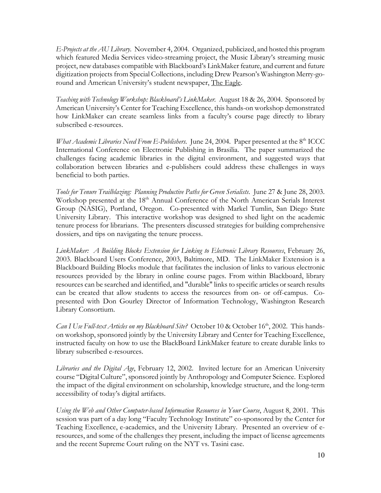*E-Projects at the AU Library*. November 4, 2004. Organized, publicized, and hosted this program which featured Media Services video-streaming project, the Music Library's streaming music project, new databases compatible with Blackboard's LinkMaker feature, and current and future digitization projects from Special Collections, including Drew Pearson's Washington Merry-goround and American University's student newspaper, The Eagle.

*Teaching with Technology Workshop: Blackboard's LinkMaker.* August 18 & 26, 2004. Sponsored by American University's Center for Teaching Excellence, this hands-on workshop demonstrated how LinkMaker can create seamless links from a faculty's course page directly to library subscribed e-resources.

*What Academic Libraries Need From E-Publishers.* June 24, 2004. Paper presented at the 8<sup>th</sup> ICCC International Conference on Electronic Publishing in Brasilia. The paper summarized the challenges facing academic libraries in the digital environment, and suggested ways that collaboration between libraries and e-publishers could address these challenges in ways beneficial to both parties.

*Tools for Tenure Trailblazing: Planning Productive Paths for Green Serialists*. June 27 & June 28, 2003. Workshop presented at the 18<sup>th</sup> Annual Conference of the North American Serials Interest Group (NASIG), Portland, Oregon. Co-presented with Markel Tumlin, San Diego State University Library. This interactive workshop was designed to shed light on the academic tenure process for librarians. The presenters discussed strategies for building comprehensive dossiers, and tips on navigating the tenure process.

*LinkMaker: A Building Blocks Extension for Linking to Electronic Library Resources*, February 26, 2003. Blackboard Users Conference, 2003, Baltimore, MD. The LinkMaker Extension is a Blackboard Building Blocks module that facilitates the inclusion of links to various electronic resources provided by the library in online course pages. From within Blackboard, library resources can be searched and identified, and "durable" links to specific articles or search results can be created that allow students to access the resources from on- or off-campus. Copresented with Don Gourley Director of Information Technology, Washington Research Library Consortium.

*Can I Use Full-text Articles on my Blackboard Site?* October 10 & October 16th, 2002. This handson workshop, sponsored jointly by the University Library and Center for Teaching Excellence, instructed faculty on how to use the BlackBoard LinkMaker feature to create durable links to library subscribed e-resources.

*Libraries and the Digital Age*, February 12, 2002. Invited lecture for an American University course "Digital Culture", sponsored jointly by Anthropology and Computer Science. Explored the impact of the digital environment on scholarship, knowledge structure, and the long-term accessibility of today's digital artifacts.

*Using the Web and Other Computer-based Information Resources in Your Course*, August 8, 2001. This session was part of a day long "Faculty Technology Institute" co-sponsored by the Center for Teaching Excellence, e-academics, and the University Library. Presented an overview of eresources, and some of the challenges they present, including the impact of license agreements and the recent Supreme Court ruling on the NYT vs. Tasini case.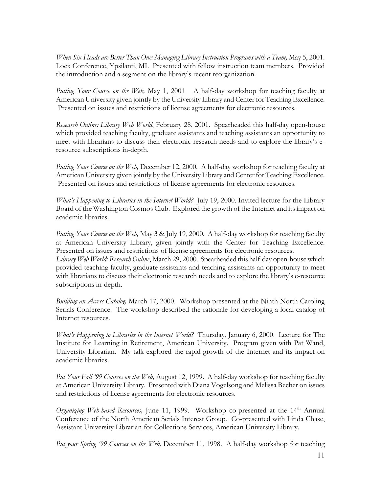*When Six Heads are Better Than One: Managing Library Instruction Programs with a Team, May 5, 2001.* Loex Conference, Ypsilanti, MI. Presented with fellow instruction team members. Provided the introduction and a segment on the library's recent reorganization.

*Putting Your Course on the Web,* May 1, 2001 A half-day workshop for teaching faculty at American University given jointly by the University Library and Center for Teaching Excellence. Presented on issues and restrictions of license agreements for electronic resources.

*Research Online: Library Web World*, February 28, 2001. Spearheaded this half-day open-house which provided teaching faculty, graduate assistants and teaching assistants an opportunity to meet with librarians to discuss their electronic research needs and to explore the library's eresource subscriptions in-depth.

*Putting Your Course on the Web,* December 12, 2000*.* A half-day workshop for teaching faculty at American University given jointly by the University Library and Center for Teaching Excellence. Presented on issues and restrictions of license agreements for electronic resources.

*What's Happening to Libraries in the Internet World?* July 19, 2000. Invited lecture for the Library Board of the Washington Cosmos Club. Explored the growth of the Internet and its impact on academic libraries.

*Putting Your Course on the Web,* May 3 & July 19, 2000. A half-day workshop for teaching faculty at American University Library, given jointly with the Center for Teaching Excellence. Presented on issues and restrictions of license agreements for electronic resources.

*Library Web World: Research Online*, March 29, 2000. Spearheaded this half-day open-house which provided teaching faculty, graduate assistants and teaching assistants an opportunity to meet with librarians to discuss their electronic research needs and to explore the library's e-resource subscriptions in-depth.

*Building an Access Catalog,* March 17, 2000. Workshop presented at the Ninth North Caroling Serials Conference. The workshop described the rationale for developing a local catalog of Internet resources.

*What's Happening to Libraries in the Internet World?* Thursday, January 6, 2000. Lecture for The Institute for Learning in Retirement, American University. Program given with Pat Wand, University Librarian. My talk explored the rapid growth of the Internet and its impact on academic libraries.

*Put Your Fall '99 Courses on the Web,* August 12, 1999. A half-day workshop for teaching faculty at American University Library.Presented with Diana Vogelsong and Melissa Becher on issues and restrictions of license agreements for electronic resources.

*Organizing Web-based Resources,* June 11, 1999. Workshop co-presented at the 14th Annual Conference of the North American Serials Interest Group*.* Co-presented with Linda Chase, Assistant University Librarian for Collections Services, American University Library.

*Put your Spring '99 Courses on the Web,* December 11, 1998. A half-day workshop for teaching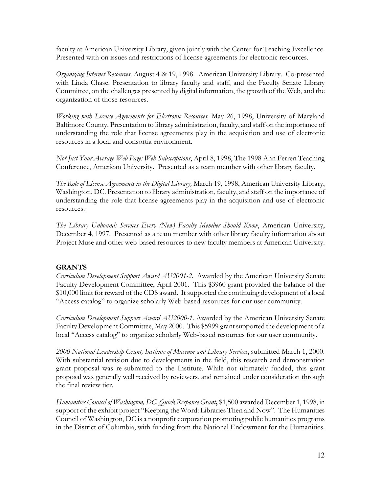faculty at American University Library, given jointly with the Center for Teaching Excellence. Presented with on issues and restrictions of license agreements for electronic resources.

*Organizing Internet Resources,* August 4 & 19, 1998. American University Library. Co-presented with Linda Chase. Presentation to library faculty and staff, and the Faculty Senate Library Committee, on the challenges presented by digital information, the growth of the Web, and the organization of those resources.

*Working with License Agreements for Electronic Resources,* May 26, 1998, University of Maryland Baltimore County. Presentation to library administration, faculty, and staff on the importance of understanding the role that license agreements play in the acquisition and use of electronic resources in a local and consortia environment.

*Not Just Your Average Web Page: Web Subscriptions*, April 8, 1998, The 1998 Ann Ferren Teaching Conference, American University. Presented as a team member with other library faculty.

*The Role of License Agreements in the Digital Library,* March 19, 1998, American University Library, Washington, DC. Presentation to library administration, faculty, and staff on the importance of understanding the role that license agreements play in the acquisition and use of electronic resources.

*The Library Unbound: Services Every (New) Faculty Member Should Know*, American University, December 4, 1997. Presented as a team member with other library faculty information about Project Muse and other web-based resources to new faculty members at American University.

# **GRANTS**

*Curriculum Development Support Award AU2001-2.* Awarded by the American University Senate Faculty Development Committee, April 2001.This \$3960 grant provided the balance of the \$10,000 limit for reward of the CDS award. It supported the continuing development of a local "Access catalog" to organize scholarly Web-based resources for our user community.

*Curriculum Development Support Award AU2000-1*. Awarded by the American University Senate Faculty Development Committee, May 2000.This \$5999 grant supported the development of a local "Access catalog" to organize scholarly Web-based resources for our user community.

*2000 National Leadership Grant, Institute of Museum and Library Services*, submitted March 1, 2000. With substantial revision due to developments in the field, this research and demonstration grant proposal was re-submitted to the Institute. While not ultimately funded, this grant proposal was generally well received by reviewers, and remained under consideration through the final review tier.

*Humanities Council of Washington, DC, Quick Response Grant***,** \$1,500 awarded December 1, 1998, in support of the exhibit project "Keeping the Word: Libraries Then and Now". The Humanities Council of Washington, DC is a nonprofit corporation promoting public humanities programs in the District of Columbia, with funding from the National Endowment for the Humanities.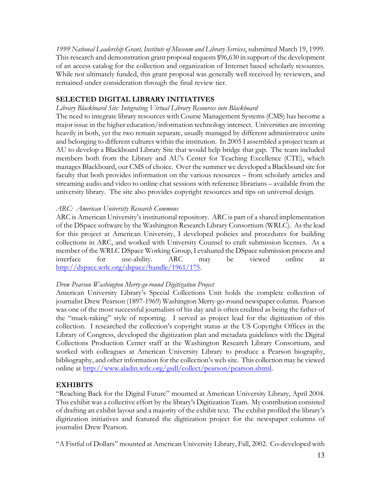*1999 National Leadership Grant, Institute of Museum and Library Services*, submitted March 19, 1999. This research and demonstration grant proposal requests \$96,630 in support of the development of an access catalog for the collection and organization of Internet based scholarly resources. While not ultimately funded, this grant proposal was generally well received by reviewers, and remained under consideration through the final review tier.

# **SELECTED DIGITAL LIBRARY INITIATIVES**

### *Library Blackboard Site: Integrating Virtual Library Resources into Blackboard*

The need to integrate library resources with Course Management Systems (CMS) has become a major issue in the higher education/information technology intersect. Universities are investing heavily in both, yet the two remain separate, usually managed by different administrative units and belonging to different cultures within the institution. In 2005 I assembled a project team at AU to develop a Blackboard Library Site that would help bridge that gap. The team included members both from the Library and AU's Center for Teaching Excellence (CTE), which manages Blackboard, our CMS of choice. Over the summer we developed a Blackboard site for faculty that both provides information on the various resources – from scholarly articles and streaming audio and video to online chat sessions with reference librarians – available from the university library. The site also provides copyright resources and tips on universal design.

## *ARC: American University Research Commons*

ARC is American University's institutional repository. ARC is part of a shared implementation of the DSpace software by the Washington Research Library Consortium (WRLC). As the lead for this project at American University, I developed policies and procedures for building collections in ARC, and worked with University Counsel to craft submission licenses. As a member of the WRLC DSpace Working Group, I evaluated the DSpace submission process and interface for use-ability. ARC may be viewed online at [http://dspace.wrlc.org/dspace/handle/1961/175.](http://dspace.wrlc.org/dspace/handle/1961/175)

# *Drew Pearson Washington Merry-go-round Digitization Project*

American University Library's Special Collections Unit holds the complete collection of journalist Drew Pearson (1897-1969) Washington Merry-go-round newspaper column. Pearson was one of the most successful journalists of his day and is often credited as being the father of the "muck-raking" style of reporting. I served as project lead for the digitization of this collection. I researched the collection's copyright status at the US Copyright Offices in the Library of Congress, developed the digitization plan and metadata guidelines with the Digital Collections Production Center staff at the Washington Research Library Consortium, and worked with colleagues at American University Library to produce a Pearson biography, bibliography, and other information for the collection's web site. This collection may be viewed online at [http://www.aladin.wrlc.org/gsdl/collect/pearson/pearson.shtml.](http://www.aladin.wrlc.org/gsdl/collect/pearson/pearson.shtml)

# **EXHIBITS**

"Reaching Back for the Digital Future" mounted at American University Library, April 2004. This exhibit was a collective effort by the library's Digitization Team. My contribution consisted of drafting an exhibit layout and a majority of the exhibit text. The exhibit profiled the library's digitization initiatives and featured the digitization project for the newspaper columns of journalist Drew Pearson.

"A Fistful of Dollars" mounted at American University Library, Fall, 2002. Co-developed with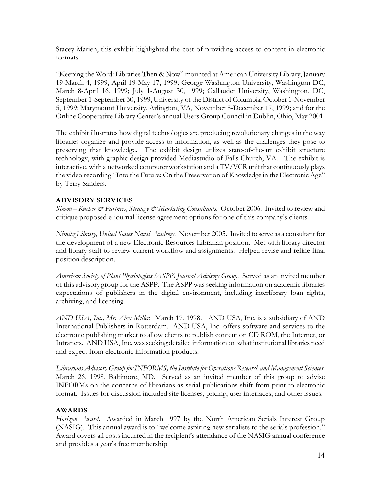Stacey Marien, this exhibit highlighted the cost of providing access to content in electronic formats.

"Keeping the Word: Libraries Then & Now" mounted at American University Library, January 19-March 4, 1999, April 19-May 17, 1999; George Washington University, Washington DC, March 8-April 16, 1999; July 1-August 30, 1999; Gallaudet University, Washington, DC, September 1-September 30, 1999, University of the District of Columbia, October 1-November 5, 1999; Marymount University, Arlington, VA, November 8-December 17, 1999; and for the Online Cooperative Library Center's annual Users Group Council in Dublin, Ohio, May 2001.

The exhibit illustrates how digital technologies are producing revolutionary changes in the way libraries organize and provide access to information, as well as the challenges they pose to preserving that knowledge. The exhibit design utilizes state-of-the-art exhibit structure technology, with graphic design provided Mediastudio of Falls Church, VA. The exhibit is interactive, with a networked computer workstation and a TV/VCR unit that continuously plays the video recording "Into the Future: On the Preservation of Knowledge in the Electronic Age" by Terry Sanders.

# **ADVISORY SERVICES**

*Simon – Kucher & Partners, Strategy & Marketing Consultants.* October 2006. Invited to review and critique proposed e-journal license agreement options for one of this company's clients.

*Nimitz Library, United States Naval Academy.*November 2005.Invited to serve as a consultant for the development of a new Electronic Resources Librarian position. Met with library director and library staff to review current workflow and assignments. Helped revise and refine final position description.

*American Society of Plant Physiologists (ASPP) Journal Advisory Group.* Served as an invited member of this advisory group for the ASPP. The ASPP was seeking information on academic libraries expectations of publishers in the digital environment, including interlibrary loan rights, archiving, and licensing.

*AND USA, Inc., Mr. Alex Miller.* March 17, 1998. AND USA, Inc. is a subsidiary of AND International Publishers in Rotterdam. AND USA, Inc. offers software and services to the electronic publishing market to allow clients to publish content on CD ROM, the Internet, or Intranets. AND USA, Inc. was seeking detailed information on what institutional libraries need and expect from electronic information products.

*Librarians Advisory Group for INFORMS, the Institute for Operations Research and Management Sciences*. March 26, 1998, Baltimore, MD. Served as an invited member of this group to advise INFORMs on the concerns of librarians as serial publications shift from print to electronic format. Issues for discussion included site licenses, pricing, user interfaces, and other issues.

# **AWARDS**

*Horizon Award***.** Awarded in March 1997 by the North American Serials Interest Group (NASIG). This annual award is to "welcome aspiring new serialists to the serials profession." Award covers all costs incurred in the recipient's attendance of the NASIG annual conference and provides a year's free membership.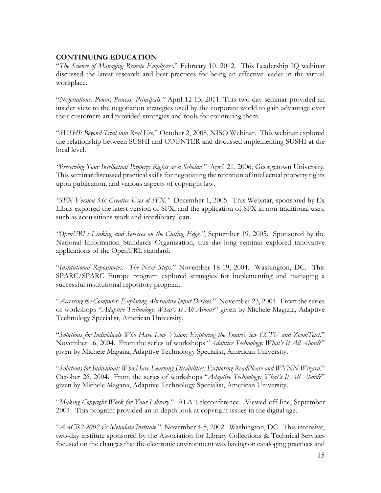# **CONTINUING EDUCATION**

"*The Science of Managing Remote Employees*." February 10, 2012. This Leadership IQ webinar discussed the latest research and best practices for being an effective leader in the virtual workplace.

"*Negotiations: Power, Process, Principals."* April 12-13, 2011. This two-day seminar provided an insider view to the negotiation strategies used by the corporate world to gain advantage over their customers and provided strategies and tools for countering them.

"*SUSHI: Beyond Trial into Real Use*." October 2, 2008, NISO Webinar. This webinar explored the relationship between SUSHI and COUNTER and discussed implementing SUSHI at the local level.

*"Preserving Your Intellectual Property Rights as a Scholar."* April 21, 2006, Georgetown University. This seminar discussed practical skills for negotiating the retention of intellectual property rights upon publication, and various aspects of copyright law.

*"SFX Version 3.0: Creative Uses of SFX."* December 1, 2005. This Webinar, sponsored by Ex Libris explored the latest version of SFX, and the application of SFX in non-traditional uses, such as acquisitions work and interlibrary loan.

*"OpenURL: Linking and Services on the Cutting Edge."*, September 19, 2005. Sponsored by the National Information Standards Organization, this day-long seminar explored innovative applications of the OpenURL standard.

"*Institutional Repositories: The Next Steps*." November 18-19, 2004. Washington, DC. This SPARC/SPARC Europe program explored strategies for implementing and managing a successful institutional repository program.

"*Accessing the Computer: Exploring Alternative Input Devices*." November 23, 2004. From the series of workshops "*Adaptive Technology: What's It All About*?" given by Michele Magana, Adaptive Technology Specialist, American University.

"*Solutions for Individuals Who Have Low Vision: Exploring the SmartView CCTV and ZoomText*." November 16, 2004. From the series of workshops "*Adaptive Technology: What's It All About*?" given by Michele Magana, Adaptive Technology Specialist, American University.

"*Solutions for Individuals Who Have Learning Disabilities: Exploring ReadPlease and WYNN Wizard.*" October 26, 2004. From the series of workshops "*Adaptive Technology: What's It All About*?" given by Michele Magana, Adaptive Technology Specialist, American University.

"*Making Copyright Work for Your Library*." ALA Teleconference. Viewed off-line, September 2004. This program provided an in depth look at copyright issues in the digital age.

"*AACR2-2002 & Metadata Institute*." November 4-5, 2002. Washington, DC. This intensive, two-day institute sponsored by the Association for Library Collections & Technical Services focused on the changes that the electronic environment was having on cataloging practices and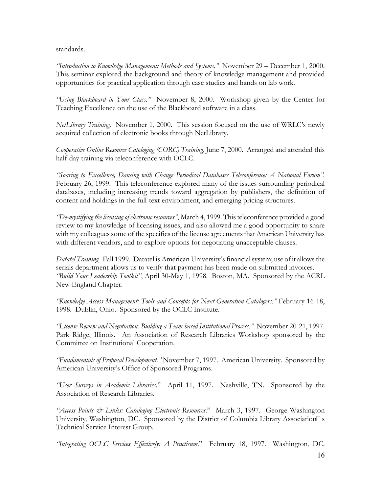standards.

*"Introduction to Knowledge Management: Methods and Systems."* November 29 – December 1, 2000. This seminar explored the background and theory of knowledge management and provided opportunities for practical application through case studies and hands on lab work.

*"Using Blackboard in Your Class."* November 8, 2000. Workshop given by the Center for Teaching Excellence on the use of the Blackboard software in a class.

*NetLibrary Training*. November 1, 2000. This session focused on the use of WRLC's newly acquired collection of electronic books through NetLibrary.

*Cooperative Online Resource Catologing (CORC) Training*, June 7, 2000. Arranged and attended this half-day training via teleconference with OCLC.

*"Soaring to Excellence, Dancing with Change Periodical Databases Teleconference: A National Forum".*  February 26, 1999. This teleconference explored many of the issues surrounding periodical databases, including increasing trends toward aggregation by publishers, the definition of content and holdings in the full-text environment, and emerging pricing structures.

*"De-mystifying the licensing of electronic resources"*, March 4, 1999. This teleconference provided a good review to my knowledge of licensing issues, and also allowed me a good opportunity to share with my colleagues some of the specifics of the license agreements that American University has with different vendors, and to explore options for negotiating unacceptable clauses.

*Datatel Training*. Fall 1999. Datatel is American University's financial system; use of it allows the serials department allows us to verify that payment has been made on submitted invoices. *"Build Your Leadership Toolkit"*, April 30-May 1, 1998. Boston, MA. Sponsored by the ACRL New England Chapter.

*"Knowledge Access Management: Tools and Concepts for Next-Generation Catalogers."* February 16-18, 1998. Dublin, Ohio. Sponsored by the OCLC Institute.

*"License Review and Negotiation: Building a Team-based Institutional Process."* November 20-21, 1997. Park Ridge, Illinois. An Association of Research Libraries Workshop sponsored by the Committee on Institutional Cooperation.

*"Fundamentals of Proposal Development."* November 7, 1997. American University. Sponsored by American University's Office of Sponsored Programs.

*"User Surveys in Academic Libraries*." April 11, 1997. Nashville, TN. Sponsored by the Association of Research Libraries.

*"Access Points & Links: Cataloging Electronic Resources*." March 3, 1997. George Washington University, Washington, DC. Sponsored by the District of Columbia Library Association $\square$  s Technical Service Interest Group.

*"Integrating OCLC Services Effectively: A Practicum*." February 18, 1997. Washington, DC.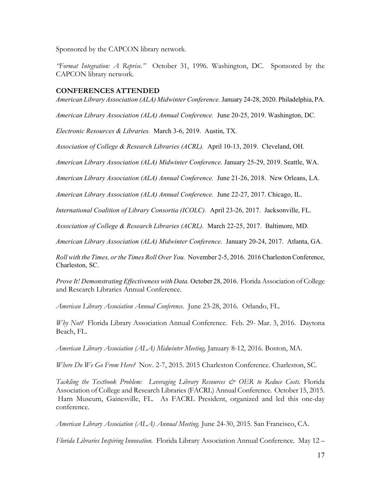Sponsored by the CAPCON library network.

*"Format Integration: A Reprise."* October 31, 1996. Washington, DC. Sponsored by the CAPCON library network.

#### **CONFERENCES ATTENDED**

*American Library Association (ALA) Midwinter Conference.* January 24-28, 2020. Philadelphia, PA.

*American Library Association (ALA) Annual Conference.* June 20-25, 2019. Washington, DC.

*Electronic Resources & Libraries.* March 3-6, 2019. Austin, TX.

*Association of College & Research Libraries (ACRL).* April 10-13, 2019. Cleveland, OH*.*

*American Library Association (ALA) Midwinter Conference.* January 25-29, 2019. Seattle, WA.

*American Library Association (ALA) Annual Conference.* June 21-26, 2018. New Orleans, LA.

*American Library Association (ALA) Annual Conference.* June 22-27, 2017. Chicago, IL.

*International Coalition of Library Consortia (ICOLC).* April 23-26, 2017. Jacksonville, FL.

*Association of College & Research Libraries (ACRL).* March 22-25, 2017. Baltimore, MD.

*American Library Association (ALA) Midwinter Conference.* January 20-24, 2017. Atlanta, GA.

*Roll with the Times, or the Times Roll Over You.* November 2-5, 2016. 2016 Charleston Conference, Charleston, SC.

*Prove It! Demonstrating Effectiveness with Data.* October 28, 2016. Florida Association of College and Research Libraries Annual Conference.

*American Library Association Annual Conference.* June 23-28, 2016. Orlando, FL.

*Why Not?* Florida Library Association Annual Conference. Feb. 29- Mar. 3, 2016. Daytona Beach, FL.

*American Library Association (ALA) Midwinter Meeting,* January 8-12, 2016. Boston, MA.

*Where Do We Go From Here?* Nov. 2-7, 2015. 2015 Charleston Conference. Charleston, SC.

*Tackling the Textbook Problem: Leveraging Library Resources & OER to Reduce Costs.* Florida Association of College and Research Libraries (FACRL) Annual Conference. October 15, 2015. Harn Museum, Gainesville, FL. As FACRL President, organized and led this one-day conference.

*American Library Association (ALA) Annual Meeting.* June 24-30, 2015. San Francisco, CA.

*Florida Libraries Inspiring Innovation.* Florida Library Association Annual Conference. May 12 –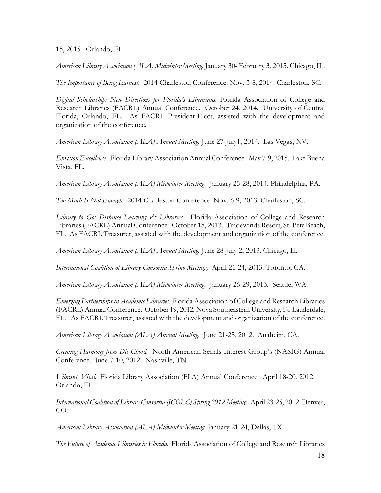15, 2015. Orlando, FL.

*American Library Association (ALA) Midwinter Meeting.* January 30- February 3, 2015. Chicago, IL.

*The Importance of Being Earnest.* 2014 Charleston Conference. Nov. 3-8, 2014. Charleston, SC.

*Digital Scholarship: New Directions for Florida's Librarians.* Florida Association of College and Research Libraries (FACRL) Annual Conference.October 24, 2014*.* University of Central Florida, Orlando, FL. As FACRL President-Elect, assisted with the development and organization of the conference.

*American Library Association (ALA) Annual Meeting.* June 27-July1, 2014. Las Vegas, NV.

*Envision Excellence.* Florida Library Association Annual Conference. May 7-9, 2015. Lake Buena Vista, FL.

*American Library Association (ALA) Midwinter Meeting.* January 25-28, 2014. Philadelphia, PA.

*Too Much Is Not Enough.* 2014 Charleston Conference. Nov. 6-9, 2013. Charleston, SC.

*Library to Go: Distance Learning & Libraries.* Florida Association of College and Research Libraries (FACRL) Annual Conference. October 18, 2013. Tradewinds Resort, St. Pete Beach, FL. As FACRL Treasurer, assisted with the development and organization of the conference.

*American Library Association (ALA) Annual Meeting.* June 28-July 2, 2013*.* Chicago, IL.

*International Coalition of Library Consortia Spring Meeting.* April 21-24, 2013. Toronto, CA.

*American Library Association (ALA) Midwinter Meeting.* January 26-29, 2013. Seattle, WA.

*Emerging Partnerships in Academic Libraries*. Florida Association of College and Research Libraries (FACRL) Annual Conference. October 19, 2012*.* Nova Southeastern University, Ft. Lauderdale, FL. As FACRL Treasurer, assisted with the development and organization of the conference.

*American Library Association (ALA) Annual Meeting*. June 21-25, 2012. Anaheim, CA.

*Creating Harmony from Dis-Chord*. North American Serials Interest Group's (NASIG) Annual Conference. June 7-10, 2012. Nashville, TN.

*Vibrant, Vital.* Florida Library Association (FLA) Annual Conference. April 18-20, 2012. Orlando, FL.

*International Coalition of Library Consortia (ICOLC) Spring 2012 Meeting.* April 23-25, 2012. Denver, CO.

*American Library Association (ALA) Midwinter Meeting.* January 21-24, Dallas, TX.

*The Future of Academic Libraries in Florida.* Florida Association of College and Research Libraries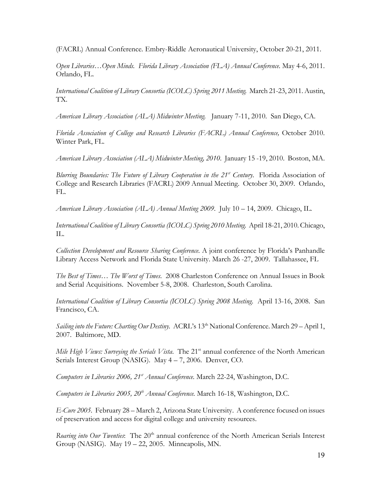(FACRL) Annual Conference*.* Embry-Riddle Aeronautical University, October 20-21, 2011.

*Open Libraries…Open Minds. Florida Library Association (FLA) Annual Conference.* May 4-6, 2011. Orlando, FL.

*International Coalition of Library Consortia (ICOLC) Spring 2011 Meeting.* March 21-23, 2011. Austin, TX.

*American Library Association (ALA) Midwinter Meeting.* January 7-11, 2010. San Diego, CA.

*Florida Association of College and Research Libraries (FACRL) Annual Conference,* October 2010. Winter Park, FL.

*American Library Association (ALA) Midwinter Meeting, 2010*. January 15 -19, 2010. Boston, MA.

*Blurring Boundaries: The Future of Library Cooperation in the 21<sup>st</sup> Century. Florida Association of* College and Research Libraries (FACRL) 2009 Annual Meeting. October 30, 2009. Orlando, FL.

*American Library Association (ALA) Annual Meeting 2009*. July 10 – 14, 2009. Chicago, IL.

*International Coalition of Library Consortia (ICOLC) Spring 2010 Meeting.* April 18-21, 2010. Chicago, IL.

*Collection Development and Resource Sharing Conference*. A joint conference by Florida's Panhandle Library Access Network and Florida State University. March 26 -27, 2009. Tallahassee, FL

*The Best of Times… The Worst of Times*. 2008 Charleston Conference on Annual Issues in Book and Serial Acquisitions. November 5-8, 2008. Charleston, South Carolina.

*International Coalition of Library Consortia (ICOLC) Spring 2008 Meeting*. April 13-16, 2008. San Francisco, CA.

*Sailing into the Future: Charting Our Destiny.* ACRL's 13th National Conference. March 29 – April 1, 2007. Baltimore, MD.

*Mile High Views: Surveying the Serials Vista.* The 21<sup>st</sup> annual conference of the North American Serials Interest Group (NASIG). May 4 – 7, 2006. Denver, CO.

*Computers in Libraries 2006, 21st Annual Conference.* March 22-24, Washington, D.C.

*Computers in Libraries 2005, 20th Annual Conference.* March 16-18, Washington, D.C.

*E-Cure 2005.* February 28 – March 2, Arizona State University. A conference focused on issues of preservation and access for digital college and university resources.

*Roaring into Our Twenties*: The 20<sup>th</sup> annual conference of the North American Serials Interest Group (NASIG). May 19 – 22, 2005. Minneapolis, MN.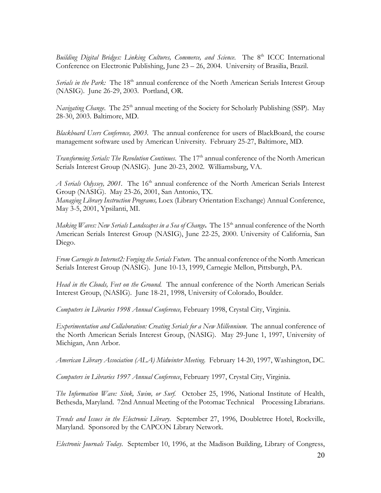Building Digital Bridges: Linking Cultures, Commerce, and Science. The 8<sup>th</sup> ICCC International Conference on Electronic Publishing, June 23 – 26, 2004. University of Brasilia, Brazil.

*Serials in the Park:* The 18<sup>th</sup> annual conference of the North American Serials Interest Group (NASIG). June 26-29, 2003. Portland, OR.

*Navigating Change*. The 25<sup>th</sup> annual meeting of the Society for Scholarly Publishing (SSP). May 28-30, 2003. Baltimore, MD.

*Blackboard Users Conference, 2003.* The annual conference for users of BlackBoard, the course management software used by American University. February 25-27, Baltimore, MD.

*Transforming Serials: The Revolution Continues. The 17<sup>th</sup> annual conference of the North American* Serials Interest Group (NASIG). June 20-23, 2002. Williamsburg, VA.

*A Serials Odyssey, 2001.* The 16<sup>th</sup> annual conference of the North American Serials Interest Group (NASIG). May 23-26, 2001, San Antonio, TX. *Managing Library Instruction Programs,* Loex (Library Orientation Exchange) Annual Conference,

May 3-5, 2001, Ypsilanti, MI.

*Making Waves: New Serials Landscapes in a Sea of Change*. The 15<sup>th</sup> annual conference of the North American Serials Interest Group (NASIG), June 22-25, 2000. University of California, San Diego.

*From Carnegie to Internet2: Forging the Serials Future.* The annual conference of the North American Serials Interest Group (NASIG). June 10-13, 1999, Carnegie Mellon, Pittsburgh, PA.

*Head in the Clouds, Feet on the Ground.* The annual conference of the North American Serials Interest Group, (NASIG). June 18-21, 1998, University of Colorado, Boulder.

*Computers in Libraries 1998 Annual Conference,* February 1998, Crystal City, Virginia.

*Experimentation and Collaboration: Creating Serials for a New Millennium*. The annual conference of the North American Serials Interest Group, (NASIG). May 29-June 1, 1997, University of Michigan, Ann Arbor.

*American Library Association (ALA) Midwinter Meeting*. February 14-20, 1997, Washington, DC.

*Computers in Libraries 1997 Annual Conference*, February 1997, Crystal City, Virginia.

*The Information Wave: Sink, Swim, or Surf.* October 25, 1996, National Institute of Health, Bethesda, Maryland. 72nd Annual Meeting of the Potomac Technical Processing Librarians.

*Trends and Issues in the Electronic Library*. September 27, 1996, Doubletree Hotel, Rockville, Maryland. Sponsored by the CAPCON Library Network.

*Electronic Journals Today*. September 10, 1996, at the Madison Building, Library of Congress,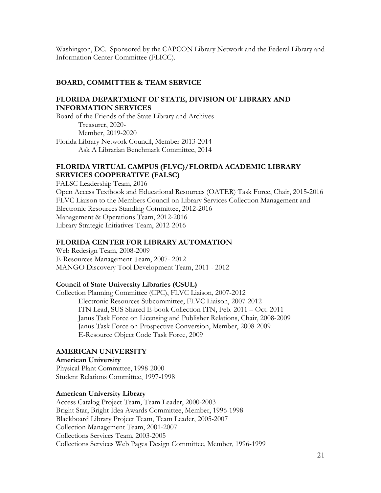Washington, DC. Sponsored by the CAPCON Library Network and the Federal Library and Information Center Committee (FLICC).

### **BOARD, COMMITTEE & TEAM SERVICE**

### **FLORIDA DEPARTMENT OF STATE, DIVISION OF LIBRARY AND INFORMATION SERVICES**

Board of the Friends of the State Library and Archives Treasurer, 2020- Member, 2019-2020 Florida Library Network Council, Member 2013-2014 Ask A Librarian Benchmark Committee, 2014

## **FLORIDA VIRTUAL CAMPUS (FLVC)/FLORIDA ACADEMIC LIBRARY SERVICES COOPERATIVE (FALSC)**

FALSC Leadership Team, 2016 Open Access Textbook and Educational Resources (OATER) Task Force, Chair, 2015-2016 FLVC Liaison to the Members Council on Library Services Collection Management and Electronic Resources Standing Committee, 2012-2016 Management & Operations Team, 2012-2016 Library Strategic Initiatives Team, 2012-2016

#### **FLORIDA CENTER FOR LIBRARY AUTOMATION**

Web Redesign Team, 2008-2009 E-Resources Management Team, 2007- 2012 MANGO Discovery Tool Development Team, 2011 - 2012

#### **Council of State University Libraries (CSUL)**

Collection Planning Committee (CPC), FLVC Liaison, 2007-2012 Electronic Resources Subcommittee, FLVC Liaison, 2007-2012 ITN Lead, SUS Shared E-book Collection ITN, Feb. 2011 – Oct. 2011 Janus Task Force on Licensing and Publisher Relations, Chair, 2008-2009 Janus Task Force on Prospective Conversion, Member, 2008-2009 E-Resource Object Code Task Force, 2009

# **AMERICAN UNIVERSITY**

**American University** Physical Plant Committee, 1998-2000 Student Relations Committee, 1997-1998

#### **American University Library**

Access Catalog Project Team, Team Leader, 2000-2003 Bright Star, Bright Idea Awards Committee, Member, 1996-1998 Blackboard Library Project Team, Team Leader, 2005-2007 Collection Management Team, 2001-2007 Collections Services Team, 2003-2005 Collections Services Web Pages Design Committee, Member, 1996-1999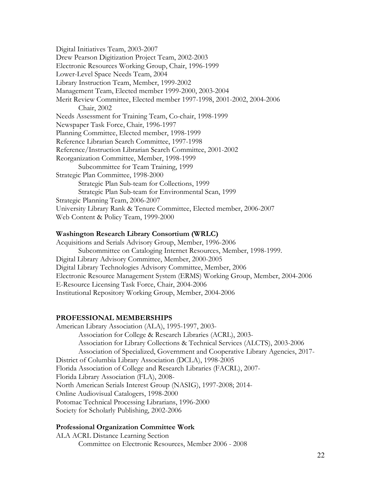Digital Initiatives Team, 2003-2007 Drew Pearson Digitization Project Team, 2002-2003 Electronic Resources Working Group, Chair, 1996-1999 Lower-Level Space Needs Team, 2004 Library Instruction Team, Member, 1999-2002 Management Team, Elected member 1999-2000, 2003-2004 Merit Review Committee, Elected member 1997-1998, 2001-2002, 2004-2006 Chair, 2002 Needs Assessment for Training Team, Co-chair, 1998-1999 Newspaper Task Force, Chair, 1996-1997 Planning Committee, Elected member, 1998-1999 Reference Librarian Search Committee, 1997-1998 Reference/Instruction Librarian Search Committee, 2001-2002 Reorganization Committee, Member, 1998-1999 Subcommittee for Team Training, 1999 Strategic Plan Committee, 1998-2000 Strategic Plan Sub-team for Collections, 1999 Strategic Plan Sub-team for Environmental Scan, 1999 Strategic Planning Team, 2006-2007 University Library Rank & Tenure Committee, Elected member, 2006-2007 Web Content & Policy Team, 1999-2000

#### **Washington Research Library Consortium (WRLC)**

Acquisitions and Serials Advisory Group, Member, 1996-2006 Subcommittee on Cataloging Internet Resources, Member, 1998-1999. Digital Library Advisory Committee, Member, 2000-2005 Digital Library Technologies Advisory Committee, Member, 2006 Electronic Resource Management System (ERMS) Working Group, Member, 2004-2006 E-Resource Licensing Task Force, Chair, 2004-2006 Institutional Repository Working Group, Member, 2004-2006

#### **PROFESSIONAL MEMBERSHIPS**

American Library Association (ALA), 1995-1997, 2003- Association for College & Research Libraries (ACRL), 2003- Association for Library Collections & Technical Services (ALCTS), 2003-2006 Association of Specialized, Government and Cooperative Library Agencies, 2017- District of Columbia Library Association (DCLA), 1998-2005 Florida Association of College and Research Libraries (FACRL), 2007- Florida Library Association (FLA), 2008- North American Serials Interest Group (NASIG), 1997-2008; 2014- Online Audiovisual Catalogers, 1998-2000 Potomac Technical Processing Librarians, 1996-2000 Society for Scholarly Publishing, 2002-2006

#### **Professional Organization Committee Work**

ALA ACRL Distance Learning Section Committee on Electronic Resources, Member 2006 - 2008